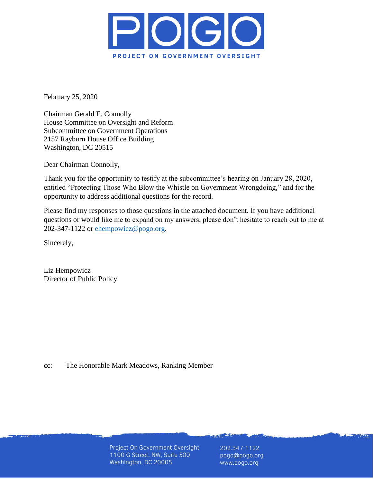

February 25, 2020

Chairman Gerald E. Connolly House Committee on Oversight and Reform Subcommittee on Government Operations 2157 Rayburn House Office Building Washington, DC 20515

Dear Chairman Connolly,

Thank you for the opportunity to testify at the subcommittee's hearing on January 28, 2020, entitled "Protecting Those Who Blow the Whistle on Government Wrongdoing," and for the opportunity to address additional questions for the record.

Please find my responses to those questions in the attached document. If you have additional questions or would like me to expand on my answers, please don't hesitate to reach out to me at 202-347-1122 or [ehempowicz@pogo.org.](mailto:ehempowicz@pogo.org)

Sincerely,

Liz Hempowicz Director of Public Policy

cc: The Honorable Mark Meadows, Ranking Member

Project On Government Oversight 1100 G Street, NW, Suite 500 Washington, DC 20005

202.347.1122 pogo@pogo.org www.pogo.org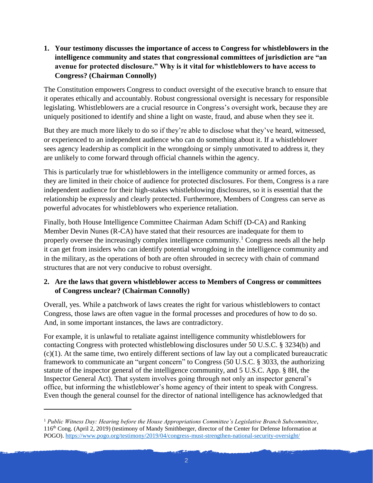**1. Your testimony discusses the importance of access to Congress for whistleblowers in the intelligence community and states that congressional committees of jurisdiction are "an avenue for protected disclosure." Why is it vital for whistleblowers to have access to Congress? (Chairman Connolly)**

The Constitution empowers Congress to conduct oversight of the executive branch to ensure that it operates ethically and accountably. Robust congressional oversight is necessary for responsible legislating. Whistleblowers are a crucial resource in Congress's oversight work, because they are uniquely positioned to identify and shine a light on waste, fraud, and abuse when they see it.

But they are much more likely to do so if they're able to disclose what they've heard, witnessed, or experienced to an independent audience who can do something about it. If a whistleblower sees agency leadership as complicit in the wrongdoing or simply unmotivated to address it, they are unlikely to come forward through official channels within the agency.

This is particularly true for whistleblowers in the intelligence community or armed forces, as they are limited in their choice of audience for protected disclosures. For them, Congress is a rare independent audience for their high-stakes whistleblowing disclosures, so it is essential that the relationship be expressly and clearly protected. Furthermore, Members of Congress can serve as powerful advocates for whistleblowers who experience retaliation.

Finally, both House Intelligence Committee Chairman Adam Schiff (D-CA) and Ranking Member Devin Nunes (R-CA) have stated that their resources are inadequate for them to properly oversee the increasingly complex intelligence community.<sup>1</sup> Congress needs all the help it can get from insiders who can identify potential wrongdoing in the intelligence community and in the military, as the operations of both are often shrouded in secrecy with chain of command structures that are not very conducive to robust oversight.

## **2. Are the laws that govern whistleblower access to Members of Congress or committees of Congress unclear? (Chairman Connolly)**

Overall, yes. While a patchwork of laws creates the right for various whistleblowers to contact Congress, those laws are often vague in the formal processes and procedures of how to do so. And, in some important instances, the laws are contradictory.

For example, it is unlawful to retaliate against intelligence community whistleblowers for contacting Congress with protected whistleblowing disclosures under 50 U.S.C. § 3234(b) and (c)(1). At the same time, two entirely different sections of law lay out a complicated bureaucratic framework to communicate an "urgent concern" to Congress (50 U.S.C. § 3033, the authorizing statute of the inspector general of the intelligence community, and 5 U.S.C. App. § 8H, the Inspector General Act). That system involves going through not only an inspector general's office, but informing the whistleblower's home agency of their intent to speak with Congress. Even though the general counsel for the director of national intelligence has acknowledged that

 $\overline{a}$ 

<sup>1</sup> *Public Witness Day: Hearing before the House Appropriations Committee's Legislative Branch Subcommittee*, 116th Cong. (April 2, 2019) (testimony of Mandy Smithberger, director of the Center for Defense Information at POGO)[. https://www.pogo.org/testimony/2019/04/congress-must-strengthen-national-security-oversight/](https://www.pogo.org/testimony/2019/04/congress-must-strengthen-national-security-oversight/)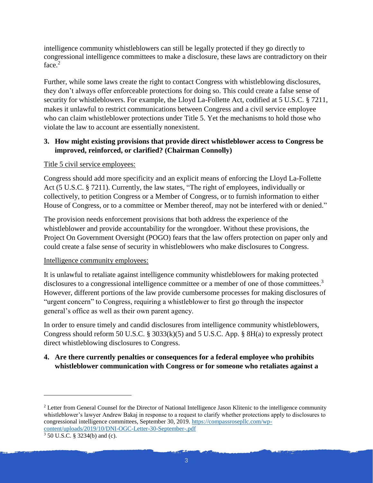intelligence community whistleblowers can still be legally protected if they go directly to congressional intelligence committees to make a disclosure, these laws are contradictory on their face. 2

Further, while some laws create the right to contact Congress with whistleblowing disclosures, they don't always offer enforceable protections for doing so. This could create a false sense of security for whistleblowers. For example, the Lloyd La-Follette Act, codified at 5 U.S.C. § 7211, makes it unlawful to restrict communications between Congress and a civil service employee who can claim whistleblower protections under Title 5. Yet the mechanisms to hold those who violate the law to account are essentially nonexistent.

## **3. How might existing provisions that provide direct whistleblower access to Congress be improved, reinforced, or clarified? (Chairman Connolly)**

#### Title 5 civil service employees:

Congress should add more specificity and an explicit means of enforcing the Lloyd La-Follette Act (5 U.S.C. § 7211). Currently, the law states, "The right of employees, individually or collectively, to petition Congress or a Member of Congress, or to furnish information to either House of Congress, or to a committee or Member thereof, may not be interfered with or denied."

The provision needs enforcement provisions that both address the experience of the whistleblower and provide accountability for the wrongdoer. Without these provisions, the Project On Government Oversight (POGO) fears that the law offers protection on paper only and could create a false sense of security in whistleblowers who make disclosures to Congress.

#### Intelligence community employees:

It is unlawful to retaliate against intelligence community whistleblowers for making protected disclosures to a congressional intelligence committee or a member of one of those committees.<sup>3</sup> However, different portions of the law provide cumbersome processes for making disclosures of "urgent concern" to Congress, requiring a whistleblower to first go through the inspector general's office as well as their own parent agency.

In order to ensure timely and candid disclosures from intelligence community whistleblowers, Congress should reform 50 U.S.C.  $\S$  3033(k)(5) and 5 U.S.C. App.  $\S$  8H(a) to expressly protect direct whistleblowing disclosures to Congress.

#### **4. Are there currently penalties or consequences for a federal employee who prohibits whistleblower communication with Congress or for someone who retaliates against a**

<sup>2</sup> Letter from General Counsel for the Director of National Intelligence Jason Klitenic to the intelligence community whistleblower's lawyer Andrew Bakaj in response to a request to clarify whether protections apply to disclosures to congressional intelligence committees, September 30, 2019. [https://compassrosepllc.com/wp](https://compassrosepllc.com/wp-content/uploads/2019/10/DNI-OGC-Letter-30-September-.pdf)[content/uploads/2019/10/DNI-OGC-Letter-30-September-.pdf](https://compassrosepllc.com/wp-content/uploads/2019/10/DNI-OGC-Letter-30-September-.pdf)

 $\overline{\phantom{a}}$ 

<sup>3</sup> 50 U.S.C. § 3234(b) and (c).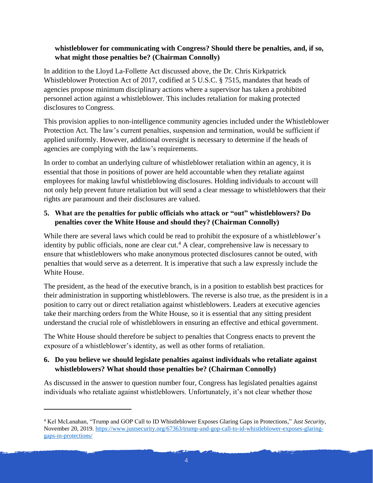### **whistleblower for communicating with Congress? Should there be penalties, and, if so, what might those penalties be? (Chairman Connolly)**

In addition to the Lloyd La-Follette Act discussed above, the Dr. Chris Kirkpatrick Whistleblower Protection Act of 2017, codified at 5 U.S.C. § 7515, mandates that heads of agencies propose minimum disciplinary actions where a supervisor has taken a prohibited personnel action against a whistleblower. This includes retaliation for making protected disclosures to Congress.

This provision applies to non-intelligence community agencies included under the Whistleblower Protection Act. The law's current penalties, suspension and termination, would be sufficient if applied uniformly. However, additional oversight is necessary to determine if the heads of agencies are complying with the law's requirements.

In order to combat an underlying culture of whistleblower retaliation within an agency, it is essential that those in positions of power are held accountable when they retaliate against employees for making lawful whistleblowing disclosures. Holding individuals to account will not only help prevent future retaliation but will send a clear message to whistleblowers that their rights are paramount and their disclosures are valued.

# **5. What are the penalties for public officials who attack or "out" whistleblowers? Do penalties cover the White House and should they? (Chairman Connolly)**

While there are several laws which could be read to prohibit the exposure of a whistleblower's identity by public officials, none are clear cut.<sup>4</sup> A clear, comprehensive law is necessary to ensure that whistleblowers who make anonymous protected disclosures cannot be outed, with penalties that would serve as a deterrent. It is imperative that such a law expressly include the White House.

The president, as the head of the executive branch, is in a position to establish best practices for their administration in supporting whistleblowers. The reverse is also true, as the president is in a position to carry out or direct retaliation against whistleblowers. Leaders at executive agencies take their marching orders from the White House, so it is essential that any sitting president understand the crucial role of whistleblowers in ensuring an effective and ethical government.

The White House should therefore be subject to penalties that Congress enacts to prevent the exposure of a whistleblower's identity, as well as other forms of retaliation.

# **6. Do you believe we should legislate penalties against individuals who retaliate against whistleblowers? What should those penalties be? (Chairman Connolly)**

As discussed in the answer to question number four, Congress has legislated penalties against individuals who retaliate against whistleblowers. Unfortunately, it's not clear whether those

 $\overline{a}$ 

<sup>4</sup> Kel McLanahan, "Trump and GOP Call to ID Whistleblower Exposes Glaring Gaps in Protections," *Just Security*, November 20, 2019[. https://www.justsecurity.org/67363/trump-and-gop-call-to-id-whistleblower-exposes-glaring](https://www.justsecurity.org/67363/trump-and-gop-call-to-id-whistleblower-exposes-glaring-gaps-in-protections/)[gaps-in-protections/](https://www.justsecurity.org/67363/trump-and-gop-call-to-id-whistleblower-exposes-glaring-gaps-in-protections/)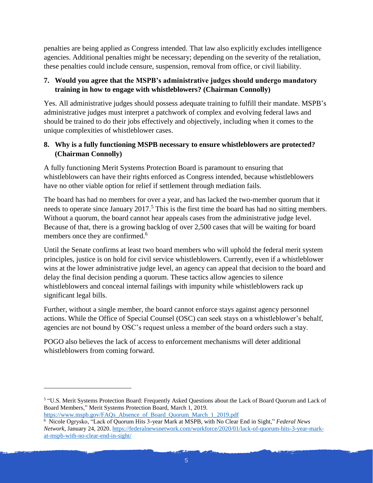penalties are being applied as Congress intended. That law also explicitly excludes intelligence agencies. Additional penalties might be necessary; depending on the severity of the retaliation, these penalties could include censure, suspension, removal from office, or civil liability.

# **7. Would you agree that the MSPB's administrative judges should undergo mandatory training in how to engage with whistleblowers? (Chairman Connolly)**

Yes. All administrative judges should possess adequate training to fulfill their mandate. MSPB's administrative judges must interpret a patchwork of complex and evolving federal laws and should be trained to do their jobs effectively and objectively, including when it comes to the unique complexities of whistleblower cases.

## **8. Why is a fully functioning MSPB necessary to ensure whistleblowers are protected? (Chairman Connolly)**

A fully functioning Merit Systems Protection Board is paramount to ensuring that whistleblowers can have their rights enforced as Congress intended, because whistleblowers have no other viable option for relief if settlement through mediation fails.

The board has had no members for over a year, and has lacked the two-member quorum that it needs to operate since January  $2017<sup>5</sup>$ . This is the first time the board has had no sitting members. Without a quorum, the board cannot hear appeals cases from the administrative judge level. Because of that, there is a growing backlog of over 2,500 cases that will be waiting for board members once they are confirmed.<sup>6</sup>

Until the Senate confirms at least two board members who will uphold the federal merit system principles, justice is on hold for civil service whistleblowers. Currently, even if a whistleblower wins at the lower administrative judge level, an agency can appeal that decision to the board and delay the final decision pending a quorum. These tactics allow agencies to silence whistleblowers and conceal internal failings with impunity while whistleblowers rack up significant legal bills.

Further, without a single member, the board cannot enforce stays against agency personnel actions. While the Office of Special Counsel (OSC) can seek stays on a whistleblower's behalf, agencies are not bound by OSC's request unless a member of the board orders such a stay.

POGO also believes the lack of access to enforcement mechanisms will deter additional whistleblowers from coming forward.

l

<sup>&</sup>lt;sup>5</sup> "U.S. Merit Systems Protection Board: Frequently Asked Questions about the Lack of Board Quorum and Lack of Board Members," Merit Systems Protection Board, March 1, 2019. [https://www.mspb.gov/FAQs\\_Absence\\_of\\_Board\\_Quorum\\_March\\_1\\_2019.pdf](https://www.mspb.gov/FAQs_Absence_of_Board_Quorum_March_1_2019.pdf)

<sup>6</sup> Nicole Ogrysko, "Lack of Quorum Hits 3-year Mark at MSPB, with No Clear End in Sight," *Federal News Network*, January 24, 2020[. https://federalnewsnetwork.com/workforce/2020/01/lack-of-quorum-hits-3-year-mark](https://federalnewsnetwork.com/workforce/2020/01/lack-of-quorum-hits-3-year-mark-at-mspb-with-no-clear-end-in-sight/)[at-mspb-with-no-clear-end-in-sight/](https://federalnewsnetwork.com/workforce/2020/01/lack-of-quorum-hits-3-year-mark-at-mspb-with-no-clear-end-in-sight/)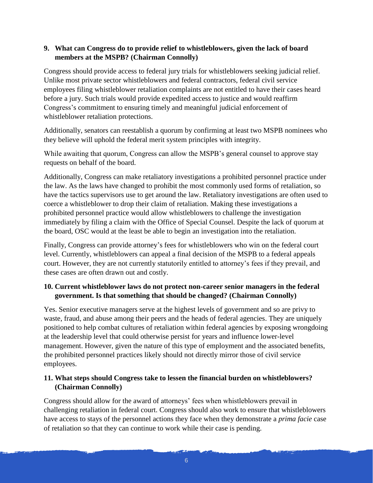## **9. What can Congress do to provide relief to whistleblowers, given the lack of board members at the MSPB? (Chairman Connolly)**

Congress should provide access to federal jury trials for whistleblowers seeking judicial relief. Unlike most private sector whistleblowers and federal contractors, federal civil service employees filing whistleblower retaliation complaints are not entitled to have their cases heard before a jury. Such trials would provide expedited access to justice and would reaffirm Congress's commitment to ensuring timely and meaningful judicial enforcement of whistleblower retaliation protections.

Additionally, senators can reestablish a quorum by confirming at least two MSPB nominees who they believe will uphold the federal merit system principles with integrity.

While awaiting that quorum, Congress can allow the MSPB's general counsel to approve stay requests on behalf of the board.

Additionally, Congress can make retaliatory investigations a prohibited personnel practice under the law. As the laws have changed to prohibit the most commonly used forms of retaliation, so have the tactics supervisors use to get around the law. Retaliatory investigations are often used to coerce a whistleblower to drop their claim of retaliation. Making these investigations a prohibited personnel practice would allow whistleblowers to challenge the investigation immediately by filing a claim with the Office of Special Counsel. Despite the lack of quorum at the board, OSC would at the least be able to begin an investigation into the retaliation.

Finally, Congress can provide attorney's fees for whistleblowers who win on the federal court level. Currently, whistleblowers can appeal a final decision of the MSPB to a federal appeals court. However, they are not currently statutorily entitled to attorney's fees if they prevail, and these cases are often drawn out and costly.

## **10. Current whistleblower laws do not protect non-career senior managers in the federal government. Is that something that should be changed? (Chairman Connolly)**

Yes. Senior executive managers serve at the highest levels of government and so are privy to waste, fraud, and abuse among their peers and the heads of federal agencies. They are uniquely positioned to help combat cultures of retaliation within federal agencies by exposing wrongdoing at the leadership level that could otherwise persist for years and influence lower-level management. However, given the nature of this type of employment and the associated benefits, the prohibited personnel practices likely should not directly mirror those of civil service employees.

## **11. What steps should Congress take to lessen the financial burden on whistleblowers? (Chairman Connolly)**

Congress should allow for the award of attorneys' fees when whistleblowers prevail in challenging retaliation in federal court. Congress should also work to ensure that whistleblowers have access to stays of the personnel actions they face when they demonstrate a *prima facie* case of retaliation so that they can continue to work while their case is pending.